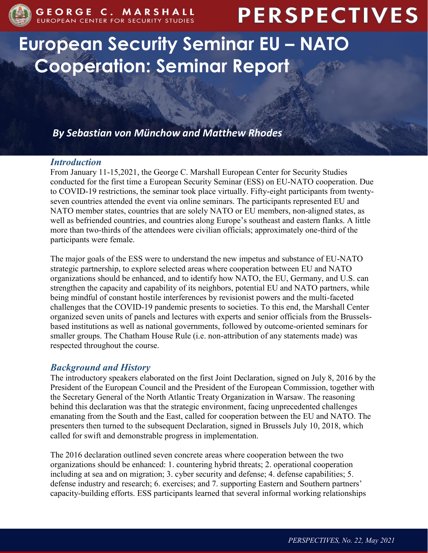

# **PERSPECTIVES**

# **European Security Seminar EU – NATO Cooperation: Seminar Report**

*By Sebastian von Münchow and Matthew Rhodes*

# *Introduction*

From January 11-15,2021, the George C. Marshall European Center for Security Studies conducted for the first time a European Security Seminar (ESS) on EU-NATO cooperation. Due to COVID-19 restrictions, the seminar took place virtually. Fifty-eight participants from twentyseven countries attended the event via online seminars. The participants represented EU and NATO member states, countries that are solely NATO or EU members, non-aligned states, as well as befriended countries, and countries along Europe's southeast and eastern flanks. A little more than two-thirds of the attendees were civilian officials; approximately one-third of the participants were female.

The major goals of the ESS were to understand the new impetus and substance of EU-NATO strategic partnership, to explore selected areas where cooperation between EU and NATO organizations should be enhanced, and to identify how NATO, the EU, Germany, and U.S. can strengthen the capacity and capability of its neighbors, potential EU and NATO partners, while being mindful of constant hostile interferences by revisionist powers and the multi-faceted challenges that the COVID-19 pandemic presents to societies. To this end, the Marshall Center organized seven units of panels and lectures with experts and senior officials from the Brusselsbased institutions as well as national governments, followed by outcome-oriented seminars for smaller groups. The Chatham House Rule (i.e. non-attribution of any statements made) was respected throughout the course.

# *Background and History*

The introductory speakers elaborated on the first Joint Declaration, signed on July 8, 2016 by the President of the European Council and the President of the European Commission, together with the Secretary General of the North Atlantic Treaty Organization in Warsaw. The reasoning behind this declaration was that the strategic environment, facing unprecedented challenges emanating from the South and the East, called for cooperation between the EU and NATO. The presenters then turned to the subsequent Declaration, signed in Brussels July 10, 2018, which called for swift and demonstrable progress in implementation.

The 2016 declaration outlined seven concrete areas where cooperation between the two organizations should be enhanced: 1. countering hybrid threats; 2. operational cooperation including at sea and on migration; 3. cyber security and defense; 4. defense capabilities; 5. defense industry and research; 6. exercises; and 7. supporting Eastern and Southern partners' capacity-building efforts. ESS participants learned that several informal working relationships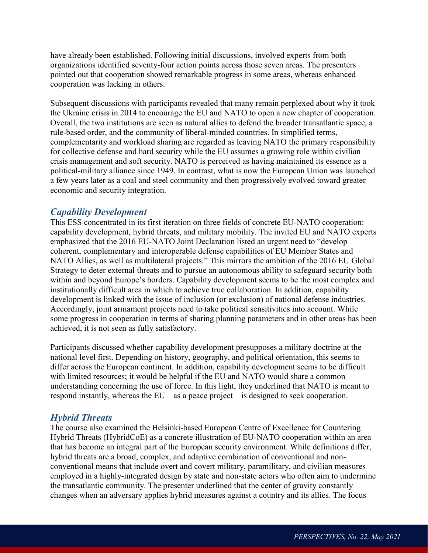have already been established. Following initial discussions, involved experts from both organizations identified seventy-four action points across those seven areas. The presenters pointed out that cooperation showed remarkable progress in some areas, whereas enhanced cooperation was lacking in others.

Subsequent discussions with participants revealed that many remain perplexed about why it took the Ukraine crisis in 2014 to encourage the EU and NATO to open a new chapter of cooperation. Overall, the two institutions are seen as natural allies to defend the broader transatlantic space, a rule-based order, and the community of liberal-minded countries. In simplified terms, complementarity and workload sharing are regarded as leaving NATO the primary responsibility for collective defense and hard security while the EU assumes a growing role within civilian crisis management and soft security. NATO is perceived as having maintained its essence as a political-military alliance since 1949. In contrast, what is now the European Union was launched a few years later as a coal and steel community and then progressively evolved toward greater economic and security integration.

# *Capability Development*

This ESS concentrated in its first iteration on three fields of concrete EU-NATO cooperation: capability development, hybrid threats, and military mobility. The invited EU and NATO experts emphasized that the 2016 EU-NATO Joint Declaration listed an urgent need to "develop coherent, complementary and interoperable defense capabilities of EU Member States and NATO Allies, as well as multilateral projects." This mirrors the ambition of the 2016 EU Global Strategy to deter external threats and to pursue an autonomous ability to safeguard security both within and beyond Europe's borders. Capability development seems to be the most complex and institutionally difficult area in which to achieve true collaboration. In addition, capability development is linked with the issue of inclusion (or exclusion) of national defense industries. Accordingly, joint armament projects need to take political sensitivities into account. While some progress in cooperation in terms of sharing planning parameters and in other areas has been achieved, it is not seen as fully satisfactory.

Participants discussed whether capability development presupposes a military doctrine at the national level first. Depending on history, geography, and political orientation, this seems to differ across the European continent. In addition, capability development seems to be difficult with limited resources; it would be helpful if the EU and NATO would share a common understanding concerning the use of force. In this light, they underlined that NATO is meant to respond instantly, whereas the EU—as a peace project—is designed to seek cooperation.

# *Hybrid Threats*

The course also examined the Helsinki-based European Centre of Excellence for Countering Hybrid Threats (HybridCoE) as a concrete illustration of EU-NATO cooperation within an area that has become an integral part of the European security environment. While definitions differ, hybrid threats are a broad, complex, and adaptive combination of conventional and nonconventional means that include overt and covert military, paramilitary, and civilian measures employed in a highly-integrated design by state and non-state actors who often aim to undermine the transatlantic community. The presenter underlined that the center of gravity constantly changes when an adversary applies hybrid measures against a country and its allies. The focus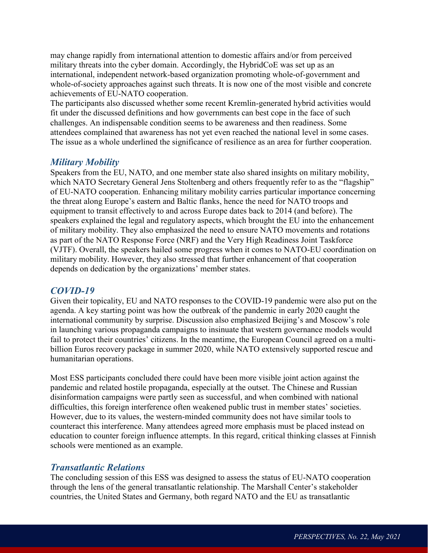may change rapidly from international attention to domestic affairs and/or from perceived military threats into the cyber domain. Accordingly, the HybridCoE was set up as an international, independent network-based organization promoting whole-of-government and whole-of-society approaches against such threats. It is now one of the most visible and concrete achievements of EU-NATO cooperation.

The participants also discussed whether some recent Kremlin-generated hybrid activities would fit under the discussed definitions and how governments can best cope in the face of such challenges. An indispensable condition seems to be awareness and then readiness. Some attendees complained that awareness has not yet even reached the national level in some cases. The issue as a whole underlined the significance of resilience as an area for further cooperation.

#### *Military Mobility*

Speakers from the EU, NATO, and one member state also shared insights on military mobility, which NATO Secretary General Jens Stoltenberg and others frequently refer to as the "flagship" of EU-NATO cooperation. Enhancing military mobility carries particular importance concerning the threat along Europe's eastern and Baltic flanks, hence the need for NATO troops and equipment to transit effectively to and across Europe dates back to 2014 (and before). The speakers explained the legal and regulatory aspects, which brought the EU into the enhancement of military mobility. They also emphasized the need to ensure NATO movements and rotations as part of the NATO Response Force (NRF) and the Very High Readiness Joint Taskforce (VJTF). Overall, the speakers hailed some progress when it comes to NATO-EU coordination on military mobility. However, they also stressed that further enhancement of that cooperation depends on dedication by the organizations' member states.

#### *COVID-19*

Given their topicality, EU and NATO responses to the COVID-19 pandemic were also put on the agenda. A key starting point was how the outbreak of the pandemic in early 2020 caught the international community by surprise. Discussion also emphasized Beijing's and Moscow's role in launching various propaganda campaigns to insinuate that western governance models would fail to protect their countries' citizens. In the meantime, the European Council agreed on a multibillion Euros recovery package in summer 2020, while NATO extensively supported rescue and humanitarian operations.

Most ESS participants concluded there could have been more visible joint action against the pandemic and related hostile propaganda, especially at the outset. The Chinese and Russian disinformation campaigns were partly seen as successful, and when combined with national difficulties, this foreign interference often weakened public trust in member states' societies. However, due to its values, the western-minded community does not have similar tools to counteract this interference. Many attendees agreed more emphasis must be placed instead on education to counter foreign influence attempts. In this regard, critical thinking classes at Finnish schools were mentioned as an example.

#### *Transatlantic Relations*

The concluding session of this ESS was designed to assess the status of EU-NATO cooperation through the lens of the general transatlantic relationship. The Marshall Center's stakeholder countries, the United States and Germany, both regard NATO and the EU as transatlantic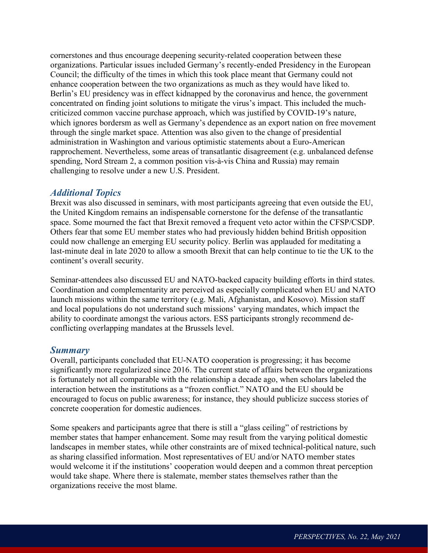cornerstones and thus encourage deepening security-related cooperation between these organizations. Particular issues included Germany's recently-ended Presidency in the European Council; the difficulty of the times in which this took place meant that Germany could not enhance cooperation between the two organizations as much as they would have liked to. Berlin's EU presidency was in effect kidnapped by the coronavirus and hence, the government concentrated on finding joint solutions to mitigate the virus's impact. This included the muchcriticized common vaccine purchase approach, which was justified by COVID-19's nature, which ignores bordersm as well as Germany's dependence as an export nation on free movement through the single market space. Attention was also given to the change of presidential administration in Washington and various optimistic statements about a Euro-American rapprochement. Nevertheless, some areas of transatlantic disagreement (e.g. unbalanced defense spending, Nord Stream 2, a common position vis-à-vis China and Russia) may remain challenging to resolve under a new U.S. President.

#### *Additional Topics*

Brexit was also discussed in seminars, with most participants agreeing that even outside the EU, the United Kingdom remains an indispensable cornerstone for the defense of the transatlantic space. Some mourned the fact that Brexit removed a frequent veto actor within the CFSP/CSDP. Others fear that some EU member states who had previously hidden behind British opposition could now challenge an emerging EU security policy. Berlin was applauded for meditating a last-minute deal in late 2020 to allow a smooth Brexit that can help continue to tie the UK to the continent's overall security.

Seminar-attendees also discussed EU and NATO-backed capacity building efforts in third states. Coordination and complementarity are perceived as especially complicated when EU and NATO launch missions within the same territory (e.g. Mali, Afghanistan, and Kosovo). Mission staff and local populations do not understand such missions' varying mandates, which impact the ability to coordinate amongst the various actors. ESS participants strongly recommend deconflicting overlapping mandates at the Brussels level.

#### *Summary*

Overall, participants concluded that EU-NATO cooperation is progressing; it has become significantly more regularized since 2016. The current state of affairs between the organizations is fortunately not all comparable with the relationship a decade ago, when scholars labeled the interaction between the institutions as a "frozen conflict." NATO and the EU should be encouraged to focus on public awareness; for instance, they should publicize success stories of concrete cooperation for domestic audiences.

Some speakers and participants agree that there is still a "glass ceiling" of restrictions by member states that hamper enhancement. Some may result from the varying political domestic landscapes in member states, while other constraints are of mixed technical-political nature, such as sharing classified information. Most representatives of EU and/or NATO member states would welcome it if the institutions' cooperation would deepen and a common threat perception would take shape. Where there is stalemate, member states themselves rather than the organizations receive the most blame.